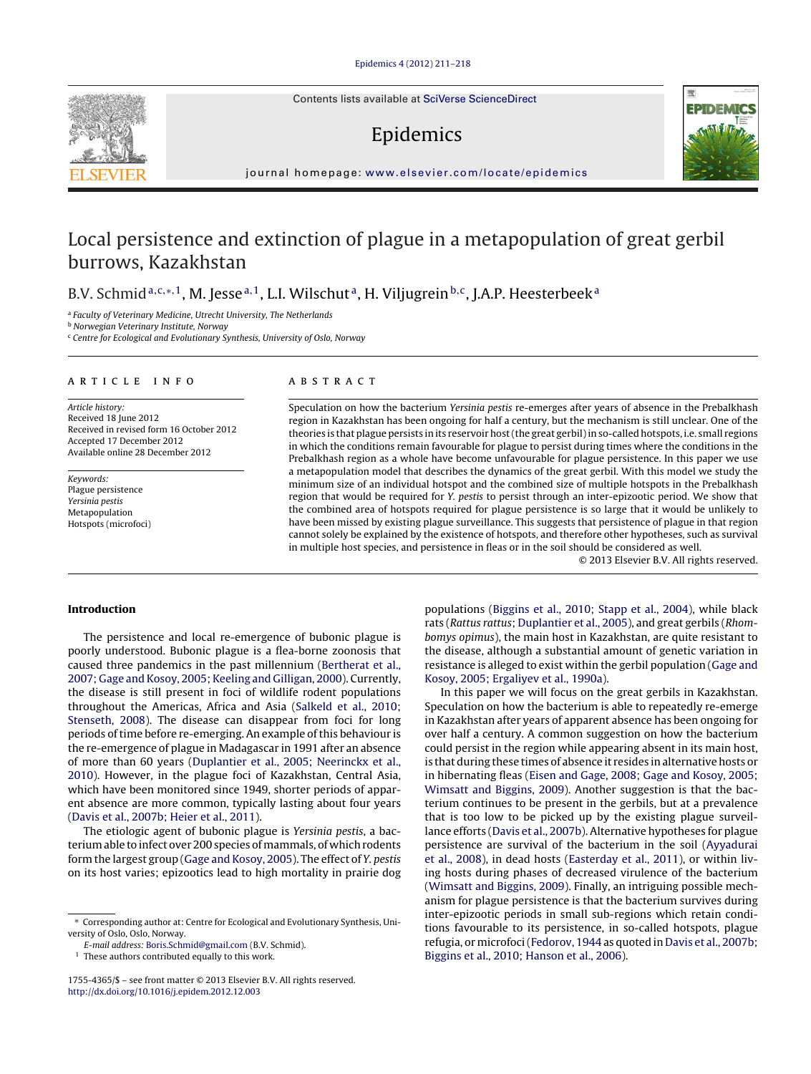Contents lists available at SciVerse ScienceDirect

# Epidemics



iournal homepage: [www.elsevier.com/locate/epidemics](http://www.elsevier.com/locate/epidemics)

## Local persistence and extinction of plague in a metapopulation of great gerbil burrows, Kazakhstan

B.V. Schmid<sup>a,c,∗,1</sup>, M. Jesse<sup>a,1</sup>, L.I. Wilschut<sup>a</sup>, H. Viljugrein<sup>b,c</sup>, J.A.P. Heesterbeek<sup>a</sup>

<sup>a</sup> Faculty of Veterinary Medicine, Utrecht University, The Netherlands

<sup>b</sup> Norwegian Veterinary Institute, Norway

<sup>c</sup> Centre for Ecological and Evolutionary Synthesis, University of Oslo, Norway

#### a r t i c l e i n f o

Article history: Received 18 June 2012 Received in revised form 16 October 2012 Accepted 17 December 2012 Available online 28 December 2012

Keywords: Plague persistence Yersinia pestis Metapopulation Hotspots (microfoci)

## A B S T R A C T

Speculation on how the bacterium Yersinia pestis re-emerges after years of absence in the Prebalkhash region in Kazakhstan has been ongoing for half a century, but the mechanism is still unclear. One of the theories is that plague persists in its reservoir host (the great gerbil) in so-called hotspots, i.e. small regions in which the conditions remain favourable for plague to persist during times where the conditions in the Prebalkhash region as a whole have become unfavourable for plague persistence. In this paper we use a metapopulation model that describes the dynamics of the great gerbil. With this model we study the minimum size of an individual hotspot and the combined size of multiple hotspots in the Prebalkhash region that would be required for Y. pestis to persist through an inter-epizootic period. We show that the combined area of hotspots required for plague persistence is so large that it would be unlikely to have been missed by existing plague surveillance. This suggests that persistence of plague in that region cannot solely be explained by the existence of hotspots, and therefore other hypotheses, such as survival in multiple host species, and persistence in fleas or in the soil should be considered as well.

© 2013 Elsevier B.V. All rights reserved.

#### **Introduction**

The persistence and local re-emergence of bubonic plague is poorly understood. Bubonic plague is a flea-borne zoonosis that caused three pandemics in the past millennium [\(Bertherat](#page-7-0) et [al.,](#page-7-0) [2007;](#page-7-0) [Gage](#page-7-0) [and](#page-7-0) [Kosoy,](#page-7-0) [2005;](#page-7-0) [Keeling](#page-7-0) [and](#page-7-0) [Gilligan,](#page-7-0) [2000\).](#page-7-0) Currently, the disease is still present in foci of wildlife rodent populations throughout the Americas, Africa and Asia ([Salkeld](#page-7-0) et [al.,](#page-7-0) [2010;](#page-7-0) [Stenseth,](#page-7-0) [2008\).](#page-7-0) The disease can disappear from foci for long periods of time before re-emerging. An example of this behaviour is the re-emergence of plague in Madagascar in 1991 after an absence of more than 60 years ([Duplantier](#page-7-0) et [al.,](#page-7-0) [2005;](#page-7-0) [Neerinckx](#page-7-0) et [al.,](#page-7-0) [2010\).](#page-7-0) However, in the plague foci of Kazakhstan, Central Asia, which have been monitored since 1949, shorter periods of apparent absence are more common, typically lasting about four years ([Davis](#page-7-0) et [al.,](#page-7-0) [2007b;](#page-7-0) [Heier](#page-7-0) et [al.,](#page-7-0) [2011\).](#page-7-0)

The etiologic agent of bubonic plague is Yersinia pestis, a bacterium able to infect over 200 species of mammals, of which rodents form the largest group ([Gage](#page-7-0) [and](#page-7-0) [Kosoy,](#page-7-0) [2005\).](#page-7-0) The effect of Y. pestis on its host varies; epizootics lead to high mortality in prairie dog

 $1$  These authors contributed equally to this work.

populations ([Biggins](#page-7-0) et [al.,](#page-7-0) [2010;](#page-7-0) [Stapp](#page-7-0) et [al.,](#page-7-0) [2004\),](#page-7-0) while black rats (Rattus rattus; [Duplantier](#page-7-0) et [al.,](#page-7-0) [2005\),](#page-7-0) and great gerbils (Rhombomys opimus), the main host in Kazakhstan, are quite resistant to the disease, although a substantial amount of genetic variation in resistance is alleged to exist within the gerbil population ([Gage](#page-7-0) [and](#page-7-0) [Kosoy,](#page-7-0) [2005;](#page-7-0) [Ergaliyev](#page-7-0) et [al.,](#page-7-0) [1990a\).](#page-7-0)

In this paper we will focus on the great gerbils in Kazakhstan. Speculation on how the bacterium is able to repeatedly re-emerge in Kazakhstan after years of apparent absence has been ongoing for over half a century. A common suggestion on how the bacterium could persist in the region while appearing absent in its main host, is that during these times of absence it resides in alternative hosts or in hibernating fleas [\(Eisen](#page-7-0) [and](#page-7-0) [Gage,](#page-7-0) [2008;](#page-7-0) [Gage](#page-7-0) [and](#page-7-0) [Kosoy,](#page-7-0) [2005;](#page-7-0) [Wimsatt](#page-7-0) [and](#page-7-0) [Biggins,](#page-7-0) [2009\).](#page-7-0) Another suggestion is that the bacterium continues to be present in the gerbils, but at a prevalence that is too low to be picked up by the existing plague surveillance efforts [\(Davis](#page-7-0) et [al.,](#page-7-0) [2007b\).](#page-7-0) Alternative hypotheses for plague persistence are survival of the bacterium in the soil ([Ayyadurai](#page-6-0) et [al.,](#page-6-0) [2008\),](#page-6-0) in dead hosts ([Easterday](#page-7-0) et [al.,](#page-7-0) [2011\),](#page-7-0) or within living hosts during phases of decreased virulence of the bacterium [\(Wimsatt](#page-7-0) [and](#page-7-0) [Biggins,](#page-7-0) [2009\).](#page-7-0) Finally, an intriguing possible mechanism for plague persistence is that the bacterium survives during inter-epizootic periods in small sub-regions which retain conditions favourable to its persistence, in so-called hotspots, plague refugia, or microfoci[\(Fedorov,](#page-7-0) [1944](#page-7-0) as quoted in [Davis](#page-7-0) et [al.,](#page-7-0) [2007b;](#page-7-0) [Biggins](#page-7-0) et [al.,](#page-7-0) [2010;](#page-7-0) [Hanson](#page-7-0) et [al.,](#page-7-0) [2006\).](#page-7-0)

<sup>∗</sup> Corresponding author at: Centre for Ecological and Evolutionary Synthesis, University of Oslo, Oslo, Norway.

E-mail address: [Boris.Schmid@gmail.com](mailto:Boris.Schmid@gmail.com) (B.V. Schmid).

<sup>1755-4365/\$</sup> – see front matter © 2013 Elsevier B.V. All rights reserved. [http://dx.doi.org/10.1016/j.epidem.2012.12.003](dx.doi.org/10.1016/j.epidem.2012.12.003)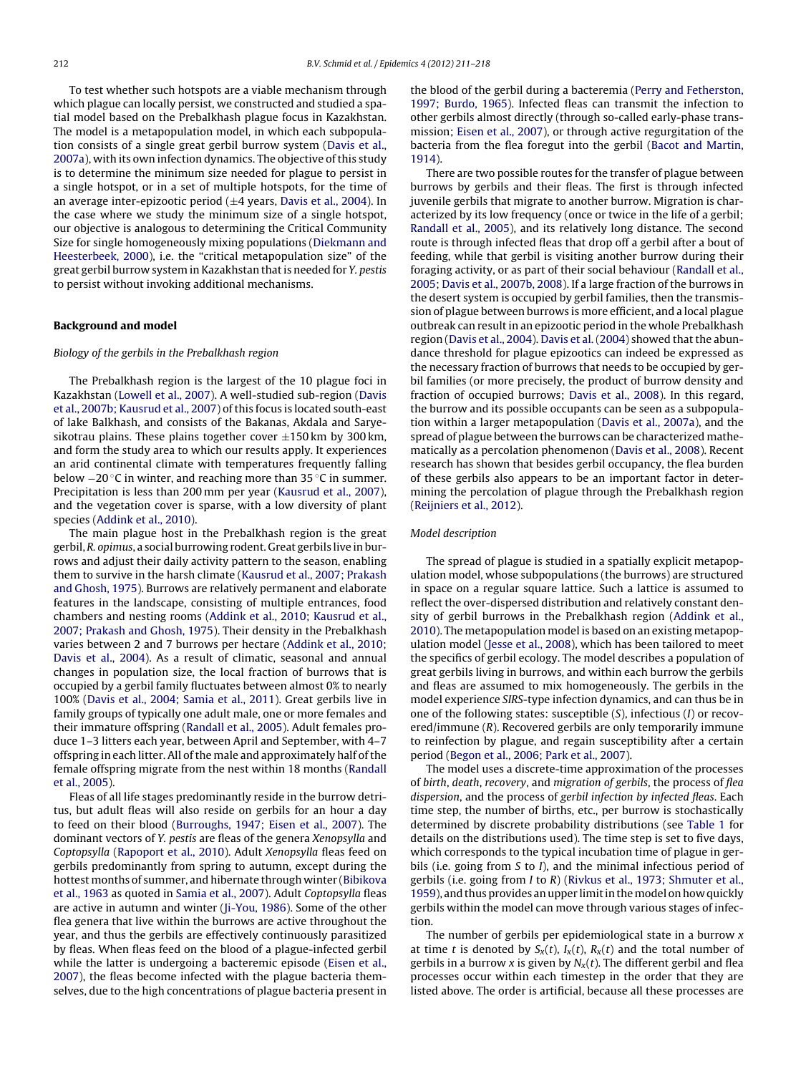To test whether such hotspots are a viable mechanism through which plague can locally persist, we constructed and studied a spatial model based on the Prebalkhash plague focus in Kazakhstan. The model is a metapopulation model, in which each subpopulation consists of a single great gerbil burrow system ([Davis](#page-7-0) et [al.,](#page-7-0) [2007a\),](#page-7-0) with its own infection dynamics. The objective of this study is to determine the minimum size needed for plague to persist in a single hotspot, or in a set of multiple hotspots, for the time of an average inter-epizootic period  $(\pm 4$  years, [Davis](#page-7-0) et [al.,](#page-7-0) [2004\).](#page-7-0) In the case where we study the minimum size of a single hotspot, our objective is analogous to determining the Critical Community Size for single homogeneously mixing populations ([Diekmann](#page-7-0) [and](#page-7-0) [Heesterbeek,](#page-7-0) [2000\),](#page-7-0) i.e. the "critical metapopulation size" of the great gerbil burrow system in Kazakhstan that is needed for Y. pestis to persist without invoking additional mechanisms.

#### **Background and model**

#### Biology of the gerbils in the Prebalkhash region

The Prebalkhash region is the largest of the 10 plague foci in Kazakhstan [\(Lowell](#page-7-0) et [al.,](#page-7-0) [2007\).](#page-7-0) A well-studied sub-region ([Davis](#page-7-0) et [al.,](#page-7-0) [2007b;](#page-7-0) [Kausrud](#page-7-0) et al., [2007\)](#page-7-0) of this focus is located south-east of lake Balkhash, and consists of the Bakanas, Akdala and Saryesikotrau plains. These plains together cover  $\pm 150$  km by 300 km, and form the study area to which our results apply. It experiences an arid continental climate with temperatures frequently falling below −20 ◦C in winter, and reaching more than 35 ◦C in summer. Precipitation is less than 200 mm per year [\(Kausrud](#page-7-0) et [al.,](#page-7-0) [2007\),](#page-7-0) and the vegetation cover is sparse, with a low diversity of plant species ([Addink](#page-6-0) et [al.,](#page-6-0) [2010\).](#page-6-0)

The main plague host in the Prebalkhash region is the great gerbil, R. opimus, a social burrowing rodent. Great gerbils live in burrows and adjust their daily activity pattern to the season, enabling them to survive in the harsh climate ([Kausrud](#page-7-0) et [al.,](#page-7-0) [2007;](#page-7-0) [Prakash](#page-7-0) [and](#page-7-0) [Ghosh,](#page-7-0) [1975\).](#page-7-0) Burrows are relatively permanent and elaborate features in the landscape, consisting of multiple entrances, food chambers and nesting rooms ([Addink](#page-6-0) et [al.,](#page-6-0) [2010;](#page-6-0) [Kausrud](#page-6-0) et [al.,](#page-6-0) [2007;](#page-6-0) [Prakash](#page-6-0) [and](#page-6-0) [Ghosh,](#page-6-0) [1975\).](#page-6-0) Their density in the Prebalkhash varies between 2 and 7 burrows per hectare [\(Addink](#page-6-0) et [al.,](#page-6-0) [2010;](#page-6-0) [Davis](#page-6-0) et [al.,](#page-6-0) [2004\).](#page-6-0) As a result of climatic, seasonal and annual changes in population size, the local fraction of burrows that is occupied by a gerbil family fluctuates between almost 0% to nearly 100% [\(Davis](#page-7-0) et [al.,](#page-7-0) [2004;](#page-7-0) [Samia](#page-7-0) et [al.,](#page-7-0) [2011\).](#page-7-0) Great gerbils live in family groups of typically one adult male, one or more females and their immature offspring [\(Randall](#page-7-0) et [al.,](#page-7-0) [2005\).](#page-7-0) Adult females produce 1–3 litters each year, between April and September, with 4–7 offspring in each litter. All of the male and approximately half of the female offspring migrate from the nest within 18 months ([Randall](#page-7-0) et [al.,](#page-7-0) [2005\).](#page-7-0)

Fleas of all life stages predominantly reside in the burrow detritus, but adult fleas will also reside on gerbils for an hour a day to feed on their blood [\(Burroughs,](#page-7-0) [1947;](#page-7-0) [Eisen](#page-7-0) et [al.,](#page-7-0) [2007\).](#page-7-0) The dominant vectors of Y. pestis are fleas of the genera Xenopsylla and Coptopsylla [\(Rapoport](#page-7-0) et [al.,](#page-7-0) [2010\).](#page-7-0) Adult Xenopsylla fleas feed on gerbils predominantly from spring to autumn, except during the hottest months of summer, and hibernate through winter ([Bibikova](#page-7-0) et [al.,](#page-7-0) [1963](#page-7-0) as quoted in [Samia](#page-7-0) et [al.,](#page-7-0) [2007\).](#page-7-0) Adult Coptopsylla fleas are active in autumn and winter ([Ji-You,](#page-7-0) [1986\).](#page-7-0) Some of the other flea genera that live within the burrows are active throughout the year, and thus the gerbils are effectively continuously parasitized by fleas. When fleas feed on the blood of a plague-infected gerbil while the latter is undergoing a bacteremic episode [\(Eisen](#page-7-0) et [al.,](#page-7-0) [2007\),](#page-7-0) the fleas become infected with the plague bacteria themselves, due to the high concentrations of plague bacteria present in

the blood of the gerbil during a bacteremia ([Perry](#page-7-0) [and](#page-7-0) [Fetherston,](#page-7-0) [1997;](#page-7-0) [Burdo,](#page-7-0) [1965\).](#page-7-0) Infected fleas can transmit the infection to other gerbils almost directly (through so-called early-phase transmission; [Eisen](#page-7-0) et [al.,](#page-7-0) [2007\),](#page-7-0) or through active regurgitation of the bacteria from the flea foregut into the gerbil [\(Bacot](#page-6-0) [and](#page-6-0) [Martin,](#page-6-0) [1914\).](#page-6-0)

There are two possible routes for the transfer of plague between burrows by gerbils and their fleas. The first is through infected juvenile gerbils that migrate to another burrow. Migration is characterized by its low frequency (once or twice in the life of a gerbil; [Randall](#page-7-0) et [al.,](#page-7-0) [2005\),](#page-7-0) and its relatively long distance. The second route is through infected fleas that drop off a gerbil after a bout of feeding, while that gerbil is visiting another burrow during their foraging activity, or as part of their social behaviour [\(Randall](#page-7-0) et [al.,](#page-7-0) [2005;](#page-7-0) [Davis](#page-7-0) et [al.,](#page-7-0) [2007b,](#page-7-0) [2008\).](#page-7-0) If a large fraction of the burrows in the desert system is occupied by gerbil families, then the transmission of plague between burrows is more efficient, and a local plague outbreak can result in an epizootic period in the whole Prebalkhash region [\(Davis](#page-7-0) et [al.,](#page-7-0) [2004\).](#page-7-0) [Davis](#page-7-0) et al. (2004) showed that the abundance threshold for plague epizootics can indeed be expressed as the necessary fraction of burrows that needs to be occupied by gerbil families (or more precisely, the product of burrow density and fraction of occupied burrows; [Davis](#page-7-0) et [al.,](#page-7-0) [2008\).](#page-7-0) In this regard, the burrow and its possible occupants can be seen as a subpopulation within a larger metapopulation ([Davis](#page-7-0) et [al.,](#page-7-0) [2007a\),](#page-7-0) and the spread of plague between the burrows can be characterized mathematically as a percolation phenomenon [\(Davis](#page-7-0) et [al.,](#page-7-0) [2008\).](#page-7-0) Recent research has shown that besides gerbil occupancy, the flea burden of these gerbils also appears to be an important factor in determining the percolation of plague through the Prebalkhash region [\(Reijniers](#page-7-0) et [al.,](#page-7-0) [2012\).](#page-7-0)

### Model description

The spread of plague is studied in a spatially explicit metapopulation model, whose subpopulations (the burrows) are structured in space on a regular square lattice. Such a lattice is assumed to reflect the over-dispersed distribution and relatively constant density of gerbil burrows in the Prebalkhash region [\(Addink](#page-6-0) et [al.,](#page-6-0) [2010\).](#page-6-0) The metapopulation model is based on an existing metapopulation model [\(Jesse](#page-7-0) et [al.,](#page-7-0) [2008\),](#page-7-0) which has been tailored to meet the specifics of gerbil ecology. The model describes a population of great gerbils living in burrows, and within each burrow the gerbils and fleas are assumed to mix homogeneously. The gerbils in the model experience SIRS-type infection dynamics, and can thus be in one of the following states: susceptible (S), infectious (I) or recovered/immune (R). Recovered gerbils are only temporarily immune to reinfection by plague, and regain susceptibility after a certain period [\(Begon](#page-6-0) et [al.,](#page-6-0) [2006;](#page-6-0) [Park](#page-6-0) et [al.,](#page-6-0) [2007\).](#page-6-0)

The model uses a discrete-time approximation of the processes of birth, death, recovery, and migration of gerbils, the process of flea dispersion, and the process of gerbil infection by infected fleas. Each time step, the number of births, etc., per burrow is stochastically determined by discrete probability distributions (see [Table](#page-2-0) 1 for details on the distributions used). The time step is set to five days, which corresponds to the typical incubation time of plague in gerbils (i.e. going from S to I), and the minimal infectious period of gerbils (i.e. going from I to R) [\(Rivkus](#page-7-0) et [al.,](#page-7-0) [1973;](#page-7-0) [Shmuter](#page-7-0) et [al.,](#page-7-0) [1959\),](#page-7-0) and thus provides an upper limit in the model on how quickly gerbils within the model can move through various stages of infection.

The number of gerbils per epidemiological state in a burrow  $x$ at time t is denoted by  $S_x(t)$ ,  $I_x(t)$ ,  $R_x(t)$  and the total number of gerbils in a burrow x is given by  $N_x(t)$ . The different gerbil and flea processes occur within each timestep in the order that they are listed above. The order is artificial, because all these processes are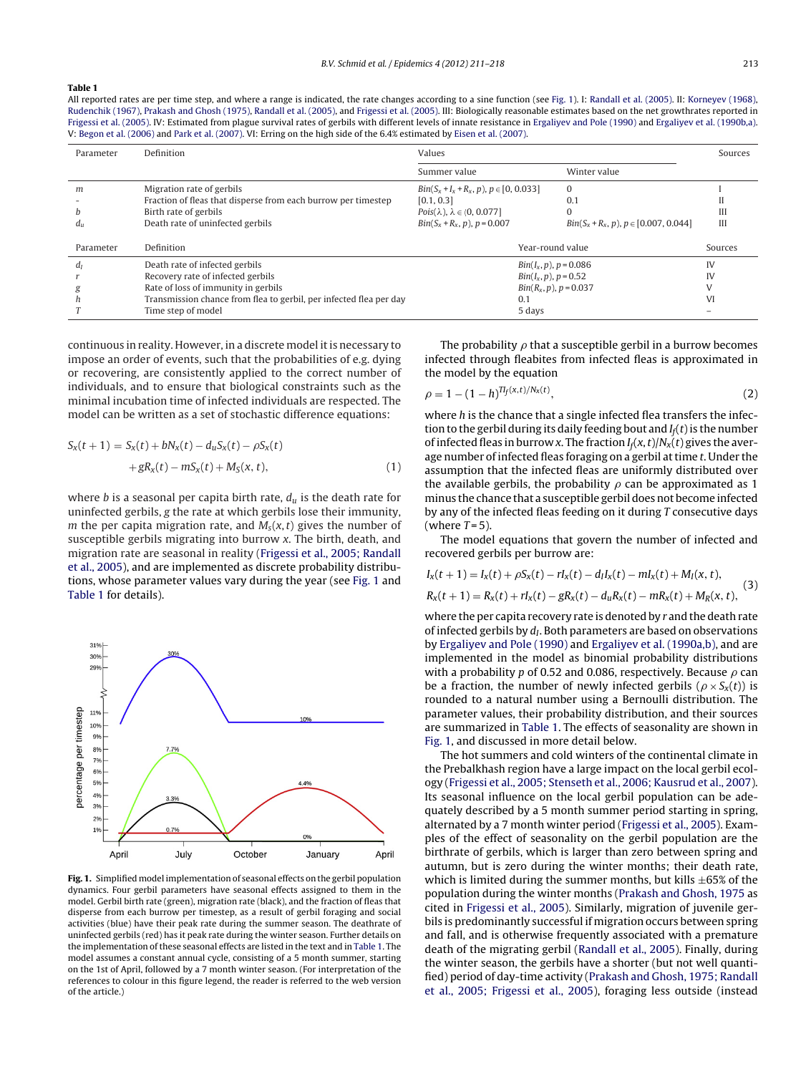#### <span id="page-2-0"></span>**Table 1**

All reported rates are per time step, and where a range is indicated, the rate changes according to a sine function (see Fig. 1). I: [Randall](#page-7-0) et [al.](#page-7-0) [\(2005\).](#page-7-0) II: [Korneyev](#page-7-0) [\(1968\),](#page-7-0) [Rudenchik](#page-7-0) [\(1967\),](#page-7-0) [Prakash](#page-7-0) [and](#page-7-0) [Ghosh](#page-7-0) [\(1975\),](#page-7-0) [Randall](#page-7-0) et [al.](#page-7-0) [\(2005\),](#page-7-0) and [Frigessi](#page-7-0) et [al.](#page-7-0) [\(2005\).](#page-7-0) III: Biologically reasonable estimates based on the net growthrates reported in [Frigessi](#page-7-0) et [al.](#page-7-0) [\(2005\).](#page-7-0) IV: Estimated from plague survival rates of gerbils with different levels of innate resistance in [Ergaliyev](#page-7-0) [and](#page-7-0) [Pole](#page-7-0) [\(1990\)](#page-7-0) and [Ergaliyev](#page-7-0) et [al.](#page-7-0) [\(1990b,a\).](#page-7-0) V: [Begon](#page-6-0) et [al.](#page-6-0) [\(2006\)](#page-6-0) and [Park](#page-7-0) et [al.](#page-7-0) [\(2007\).](#page-7-0) VI: Erring on the high side of the 6.4% estimated by [Eisen](#page-7-0) et [al.](#page-7-0) [\(2007\).](#page-7-0)

| Parameter        | Definition                                                                                                                                                                                             | Values                                                                                                                                          |                                                              | Sources        |
|------------------|--------------------------------------------------------------------------------------------------------------------------------------------------------------------------------------------------------|-------------------------------------------------------------------------------------------------------------------------------------------------|--------------------------------------------------------------|----------------|
|                  |                                                                                                                                                                                                        | Summer value                                                                                                                                    | Winter value                                                 |                |
| m<br>$d_{\rm H}$ | Migration rate of gerbils<br>Fraction of fleas that disperse from each burrow per timestep<br>Birth rate of gerbils<br>Death rate of uninfected gerbils                                                | $Bin(S_x + I_x + R_x, p), p \in [0, 0.033]$<br>[0.1, 0.3]<br>Pois( $\lambda$ ), $\lambda \in \{0, 0.077\}$<br>$Bin(S_x + R_x, p)$ , $p = 0.007$ | $\Omega$<br>0.1<br>$Bin(S_x + R_x, p), p \in [0.007, 0.044]$ | Ш<br>Ш         |
| Parameter        | Definition                                                                                                                                                                                             | Year-round value                                                                                                                                |                                                              | Sources        |
| dι               | Death rate of infected gerbils<br>Recovery rate of infected gerbils<br>Rate of loss of immunity in gerbils<br>Transmission chance from flea to gerbil, per infected flea per day<br>Time step of model | $Bin(I_x, p)$ , $p = 0.086$<br>$Bin(I_x, p)$ , $p = 0.52$<br>$Bin(R_x, p)$ , $p = 0.037$<br>0.1<br>5 days                                       |                                                              | IV<br>IV<br>VI |

continuous in reality. However, in a discrete model it is necessary to impose an order of events, such that the probabilities of e.g. dying or recovering, are consistently applied to the correct number of individuals, and to ensure that biological constraints such as the minimal incubation time of infected individuals are respected. The model can be written as a set of stochastic difference equations:

$$
S_x(t + 1) = S_x(t) + bN_x(t) - d_u S_x(t) - \rho S_x(t)
$$
  
+  $gR_x(t) - mS_x(t) + M_S(x, t),$  (1)

where *b* is a seasonal per capita birth rate,  $d_u$  is the death rate for uninfected gerbils, g the rate at which gerbils lose their immunity, m the per capita migration rate, and  $M_s(x, t)$  gives the number of susceptible gerbils migrating into burrow x. The birth, death, and migration rate are seasonal in reality [\(Frigessi](#page-7-0) et [al.,](#page-7-0) [2005;](#page-7-0) [Randall](#page-7-0) et [al.,](#page-7-0) [2005\),](#page-7-0) and are implemented as discrete probability distributions, whose parameter values vary during the year (see Fig. 1 and Table 1 for details).



**Fig. 1.** Simplified model implementation of seasonal effects on the gerbil population dynamics. Four gerbil parameters have seasonal effects assigned to them in the model. Gerbil birth rate (green), migration rate (black), and the fraction of fleas that disperse from each burrow per timestep, as a result of gerbil foraging and social activities (blue) have their peak rate during the summer season. The deathrate of uninfected gerbils (red) has it peak rate during the winter season. Further details on the implementation of these seasonal effects are listed in the text and in Table 1. The model assumes a constant annual cycle, consisting of a 5 month summer, starting on the 1st of April, followed by a 7 month winter season. (For interpretation of the references to colour in this figure legend, the reader is referred to the web version of the article.)

The probability  $\rho$  that a susceptible gerbil in a burrow becomes infected through fleabites from infected fleas is approximated in the model by the equation

$$
\rho = 1 - (1 - h)^{\prod_f (x, t) / N_x(t)},\tag{2}
$$

where  $h$  is the chance that a single infected flea transfers the infection to the gerbil during its daily feeding bout and  $I_f(t)$  is the number of infected fleas in burrow x. The fraction  $I_f(x, t)/N_x(t)$  gives the average number of infected fleas foraging on a gerbil at time  $t$ . Under the assumption that the infected fleas are uniformly distributed over the available gerbils, the probability  $\rho$  can be approximated as 1 minus the chance that a susceptible gerbil doesnot become infected by any of the infected fleas feeding on it during T consecutive days (where  $T = 5$ ).

The model equations that govern the number of infected and recovered gerbils per burrow are:

$$
I_x(t+1) = I_x(t) + \rho S_x(t) - rI_x(t) - d_I I_x(t) - mI_x(t) + M_I(x, t),
$$
  
\n
$$
R_x(t+1) = R_x(t) + rI_x(t) - gR_x(t) - d_u R_x(t) - mR_x(t) + M_R(x, t),
$$
\n(3)

where the per capita recovery rate is denoted by r and the death rate of infected gerbils by  $d_l$ . Both parameters are based on observations by [Ergaliyev](#page-7-0) [and](#page-7-0) [Pole](#page-7-0) [\(1990\)](#page-7-0) and [Ergaliyev](#page-7-0) et [al.](#page-7-0) [\(1990a,b\),](#page-7-0) and are implemented in the model as binomial probability distributions with a probability p of 0.52 and 0.086, respectively. Because  $\rho$  can be a fraction, the number of newly infected gerbils ( $\rho \times S_{x}(t)$ ) is rounded to a natural number using a Bernoulli distribution. The parameter values, their probability distribution, and their sources are summarized in Table 1. The effects of seasonality are shown in Fig. 1, and discussed in more detail below.

The hot summers and cold winters of the continental climate in the Prebalkhash region have a large impact on the local gerbil ecology ([Frigessi](#page-7-0) et [al.,](#page-7-0) [2005;](#page-7-0) [Stenseth](#page-7-0) et [al.,](#page-7-0) [2006;](#page-7-0) [Kausrud](#page-7-0) et [al.,](#page-7-0) [2007\).](#page-7-0) Its seasonal influence on the local gerbil population can be adequately described by a 5 month summer period starting in spring, alternated by a 7 month winter period [\(Frigessi](#page-7-0) et [al.,](#page-7-0) [2005\).](#page-7-0) Examples of the effect of seasonality on the gerbil population are the birthrate of gerbils, which is larger than zero between spring and autumn, but is zero during the winter months; their death rate, which is limited during the summer months, but kills  $\pm 65\%$  of the population during the winter months ([Prakash](#page-7-0) [and](#page-7-0) [Ghosh,](#page-7-0) [1975](#page-7-0) as cited in [Frigessi](#page-7-0) et [al.,](#page-7-0) [2005\).](#page-7-0) Similarly, migration of juvenile gerbils is predominantly successful if migration occurs between spring and fall, and is otherwise frequently associated with a premature death of the migrating gerbil [\(Randall](#page-7-0) et [al.,](#page-7-0) [2005\).](#page-7-0) Finally, during the winter season, the gerbils have a shorter (but not well quantified) period of day-time activity [\(Prakash](#page-7-0) [and](#page-7-0) [Ghosh,](#page-7-0) [1975;](#page-7-0) [Randall](#page-7-0) et [al.,](#page-7-0) [2005;](#page-7-0) [Frigessi](#page-7-0) et [al.,](#page-7-0) [2005\),](#page-7-0) foraging less outside (instead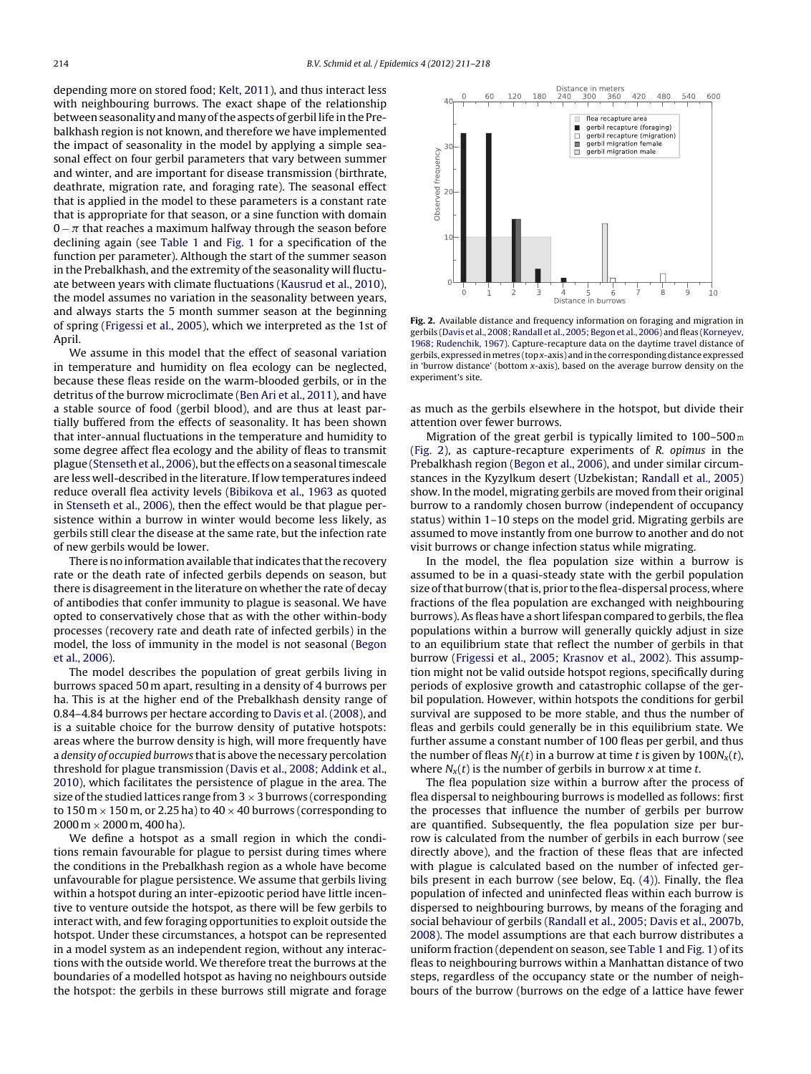depending more on stored food; [Kelt,](#page-7-0) [2011\),](#page-7-0) and thus interact less with neighbouring burrows. The exact shape of the relationship between seasonality and many of the aspects of gerbil life in the Prebalkhash region is not known, and therefore we have implemented the impact of seasonality in the model by applying a simple seasonal effect on four gerbil parameters that vary between summer and winter, and are important for disease transmission (birthrate, deathrate, migration rate, and foraging rate). The seasonal effect that is applied in the model to these parameters is a constant rate that is appropriate for that season, or a sine function with domain  $0 - \pi$  that reaches a maximum halfway through the season before declining again (see [Table](#page-2-0) 1 and [Fig.](#page-2-0) 1 for a specification of the function per parameter). Although the start of the summer season in the Prebalkhash, and the extremity of the seasonality will fluctuate between years with climate fluctuations ([Kausrud](#page-7-0) et [al.,](#page-7-0) [2010\),](#page-7-0) the model assumes no variation in the seasonality between years, and always starts the 5 month summer season at the beginning of spring [\(Frigessi](#page-7-0) et [al.,](#page-7-0) [2005\),](#page-7-0) which we interpreted as the 1st of April.

We assume in this model that the effect of seasonal variation in temperature and humidity on flea ecology can be neglected, because these fleas reside on the warm-blooded gerbils, or in the detritus of the burrow microclimate ([Ben](#page-7-0) [Ari](#page-7-0) et [al.,](#page-7-0) [2011\),](#page-7-0) and have a stable source of food (gerbil blood), and are thus at least partially buffered from the effects of seasonality. It has been shown that inter-annual fluctuations in the temperature and humidity to some degree affect flea ecology and the ability of fleas to transmit plague ([Stenseth](#page-7-0) et [al.,](#page-7-0) [2006\),](#page-7-0) but the effects on a seasonal timescale are less well-described in the literature. If low temperatures indeed reduce overall flea activity levels ([Bibikova](#page-7-0) et [al.,](#page-7-0) [1963](#page-7-0) as quoted in [Stenseth](#page-7-0) et [al.,](#page-7-0) [2006\),](#page-7-0) then the effect would be that plague persistence within a burrow in winter would become less likely, as gerbils still clear the disease at the same rate, but the infection rate of new gerbils would be lower.

There is no information available that indicates that the recovery rate or the death rate of infected gerbils depends on season, but there is disagreement in the literature on whether the rate of decay of antibodies that confer immunity to plague is seasonal. We have opted to conservatively chose that as with the other within-body processes (recovery rate and death rate of infected gerbils) in the model, the loss of immunity in the model is not seasonal ([Begon](#page-6-0) et [al.,](#page-6-0) [2006\).](#page-6-0)

The model describes the population of great gerbils living in burrows spaced 50 m apart, resulting in a density of 4 burrows per ha. This is at the higher end of the Prebalkhash density range of 0.84–4.84 burrows per hectare according to [Davis](#page-7-0) et [al.](#page-7-0) [\(2008\),](#page-7-0) and is a suitable choice for the burrow density of putative hotspots: areas where the burrow density is high, will more frequently have a density of occupied burrows that is above the necessary percolation threshold for plague transmission [\(Davis](#page-7-0) et [al.,](#page-7-0) [2008;](#page-7-0) [Addink](#page-7-0) et [al.,](#page-7-0) [2010\),](#page-7-0) which facilitates the persistence of plague in the area. The size of the studied lattices range from  $3 \times 3$  burrows (corresponding to 150 m  $\times$  150 m, or 2.25 ha) to 40  $\times$  40 burrows (corresponding to  $2000 \text{ m} \times 2000 \text{ m}$ , 400 ha).

We define a hotspot as a small region in which the conditions remain favourable for plague to persist during times where the conditions in the Prebalkhash region as a whole have become unfavourable for plague persistence. We assume that gerbils living within a hotspot during an inter-epizootic period have little incentive to venture outside the hotspot, as there will be few gerbils to interact with, and few foraging opportunities to exploit outside the hotspot. Under these circumstances, a hotspot can be represented in a model system as an independent region, without any interactions with the outside world. We therefore treat the burrows at the boundaries of a modelled hotspot as having no neighbours outside the hotspot: the gerbils in these burrows still migrate and forage



**Fig. 2.** Available distance and frequency information on foraging and migration in gerbils [\(Davis](#page-7-0) et [al.,](#page-7-0) 2008; Randall et al., [2005;](#page-7-0) Begon et al., [2006\)](#page-7-0) and fleas [\(Korneyev,](#page-7-0) [1968;](#page-7-0) [Rudenchik,](#page-7-0) [1967\).](#page-7-0) Capture-recapture data on the daytime travel distance of gerbils, expressed in metres (top x-axis) and in the corresponding distance expressed in 'burrow distance' (bottom  $x$ -axis), based on the average burrow density on the experiment's site.

as much as the gerbils elsewhere in the hotspot, but divide their attention over fewer burrows.

Migration of the great gerbil is typically limited to 100–500 m (Fig. 2), as capture-recapture experiments of R. opimus in the Prebalkhash region ([Begon](#page-6-0) et [al.,](#page-6-0) [2006\),](#page-6-0) and under similar circumstances in the Kyzylkum desert (Uzbekistan; [Randall](#page-7-0) et [al.,](#page-7-0) [2005\)](#page-7-0) show. In the model, migrating gerbils are moved from their original burrow to a randomly chosen burrow (independent of occupancy status) within 1–10 steps on the model grid. Migrating gerbils are assumed to move instantly from one burrow to another and do not visit burrows or change infection status while migrating.

In the model, the flea population size within a burrow is assumed to be in a quasi-steady state with the gerbil population size of that burrow (that is, prior to the flea-dispersal process, where fractions of the flea population are exchanged with neighbouring burrows). As fleas have a short lifespan compared to gerbils, the flea populations within a burrow will generally quickly adjust in size to an equilibrium state that reflect the number of gerbils in that burrow ([Frigessi](#page-7-0) et [al.,](#page-7-0) [2005;](#page-7-0) [Krasnov](#page-7-0) et [al.,](#page-7-0) [2002\).](#page-7-0) This assumption might not be valid outside hotspot regions, specifically during periods of explosive growth and catastrophic collapse of the gerbil population. However, within hotspots the conditions for gerbil survival are supposed to be more stable, and thus the number of fleas and gerbils could generally be in this equilibrium state. We further assume a constant number of 100 fleas per gerbil, and thus the number of fleas  $N_f(t)$  in a burrow at time t is given by  $100N_x(t)$ , where  $N_x(t)$  is the number of gerbils in burrow x at time t.

The flea population size within a burrow after the process of flea dispersal to neighbouring burrows is modelled as follows: first the processes that influence the number of gerbils per burrow are quantified. Subsequently, the flea population size per burrow is calculated from the number of gerbils in each burrow (see directly above), and the fraction of these fleas that are infected with plague is calculated based on the number of infected gerbils present in each burrow (see below, Eq. [\(4\)\).](#page-4-0) Finally, the flea population of infected and uninfected fleas within each burrow is dispersed to neighbouring burrows, by means of the foraging and social behaviour of gerbils ([Randall](#page-7-0) et [al.,](#page-7-0) [2005;](#page-7-0) [Davis](#page-7-0) et [al.,](#page-7-0) [2007b,](#page-7-0) [2008\).](#page-7-0) The model assumptions are that each burrow distributes a uniform fraction (dependent on season, see [Table](#page-2-0) 1 and [Fig.](#page-2-0) 1) of its fleas to neighbouring burrows within a Manhattan distance of two steps, regardless of the occupancy state or the number of neighbours of the burrow (burrows on the edge of a lattice have fewer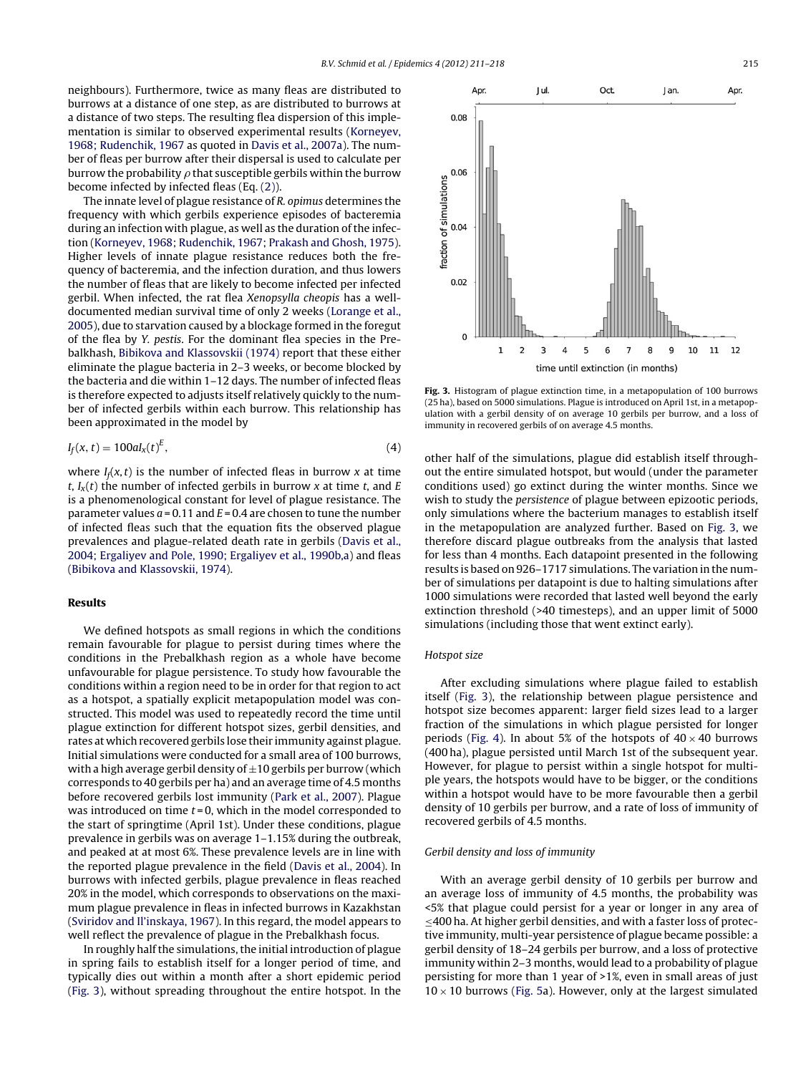<span id="page-4-0"></span>neighbours). Furthermore, twice as many fleas are distributed to burrows at a distance of one step, as are distributed to burrows at a distance of two steps. The resulting flea dispersion of this implementation is similar to observed experimental results [\(Korneyev,](#page-7-0) [1968;](#page-7-0) [Rudenchik,](#page-7-0) [1967](#page-7-0) as quoted in [Davis](#page-7-0) et [al.,](#page-7-0) [2007a\).](#page-7-0) The number of fleas per burrow after their dispersal is used to calculate per burrow the probability  $\rho$  that susceptible gerbils within the burrow become infected by infected fleas (Eq. [\(2\)\).](#page-2-0)

The innate level of plague resistance of R. opimus determines the frequency with which gerbils experience episodes of bacteremia during an infection with plague, as well as the duration of the infection ([Korneyev,](#page-7-0) [1968;](#page-7-0) [Rudenchik,](#page-7-0) [1967;](#page-7-0) [Prakash](#page-7-0) [and](#page-7-0) [Ghosh,](#page-7-0) [1975\).](#page-7-0) Higher levels of innate plague resistance reduces both the frequency of bacteremia, and the infection duration, and thus lowers the number of fleas that are likely to become infected per infected gerbil. When infected, the rat flea Xenopsylla cheopis has a welldocumented median survival time of only 2 weeks [\(Lorange](#page-7-0) et [al.,](#page-7-0) [2005\),](#page-7-0) due to starvation caused by a blockage formed in the foregut of the flea by Y. pestis. For the dominant flea species in the Prebalkhash, [Bibikova](#page-7-0) [and](#page-7-0) [Klassovskii](#page-7-0) [\(1974\)](#page-7-0) report that these either eliminate the plague bacteria in 2–3 weeks, or become blocked by the bacteria and die within 1–12 days. The number of infected fleas is therefore expected to adjusts itself relatively quickly to the number of infected gerbils within each burrow. This relationship has been approximated in the model by

$$
I_f(x,t) = 100aI_x(t)^E,
$$
\n(4)

where  $I_f(x, t)$  is the number of infected fleas in burrow x at time t,  $I_x(t)$  the number of infected gerbils in burrow x at time t, and E is a phenomenological constant for level of plague resistance. The parameter values  $a = 0.11$  and  $E = 0.4$  are chosen to tune the number of infected fleas such that the equation fits the observed plague prevalences and plague-related death rate in gerbils ([Davis](#page-7-0) et [al.,](#page-7-0) [2004;](#page-7-0) [Ergaliyev](#page-7-0) [and](#page-7-0) [Pole,](#page-7-0) [1990;](#page-7-0) [Ergaliyev](#page-7-0) et [al.,](#page-7-0) [1990b,a\)](#page-7-0) and fleas ([Bibikova](#page-7-0) [and](#page-7-0) [Klassovskii,](#page-7-0) [1974\).](#page-7-0)

#### **Results**

We defined hotspots as small regions in which the conditions remain favourable for plague to persist during times where the conditions in the Prebalkhash region as a whole have become unfavourable for plague persistence. To study how favourable the conditions within a region need to be in order for that region to act as a hotspot, a spatially explicit metapopulation model was constructed. This model was used to repeatedly record the time until plague extinction for different hotspot sizes, gerbil densities, and rates at which recovered gerbils lose their immunity against plague. Initial simulations were conducted for a small area of 100 burrows, with a high average gerbil density of  $\pm 10$  gerbils per burrow (which corresponds to 40 gerbils per ha) and an average time of 4.5 months before recovered gerbils lost immunity [\(Park](#page-7-0) et [al.,](#page-7-0) [2007\).](#page-7-0) Plague was introduced on time  $t = 0$ , which in the model corresponded to the start of springtime (April 1st). Under these conditions, plague prevalence in gerbils was on average 1–1.15% during the outbreak, and peaked at at most 6%. These prevalence levels are in line with the reported plague prevalence in the field [\(Davis](#page-7-0) et [al.,](#page-7-0) [2004\).](#page-7-0) In burrows with infected gerbils, plague prevalence in fleas reached 20% in the model, which corresponds to observations on the maximum plague prevalence in fleas in infected burrows in Kazakhstan ([Sviridov](#page-7-0) [and](#page-7-0) [Il'inskaya,](#page-7-0) [1967\).](#page-7-0) In this regard, the model appears to well reflect the prevalence of plague in the Prebalkhash focus.

In roughly half the simulations, the initial introduction of plague in spring fails to establish itself for a longer period of time, and typically dies out within a month after a short epidemic period (Fig. 3), without spreading throughout the entire hotspot. In the



**Fig. 3.** Histogram of plague extinction time, in a metapopulation of 100 burrows (25 ha), based on 5000 simulations. Plague is introduced on April 1st, in a metapopulation with a gerbil density of on average 10 gerbils per burrow, and a loss of immunity in recovered gerbils of on average 4.5 months.

other half of the simulations, plague did establish itself throughout the entire simulated hotspot, but would (under the parameter conditions used) go extinct during the winter months. Since we wish to study the persistence of plague between epizootic periods, only simulations where the bacterium manages to establish itself in the metapopulation are analyzed further. Based on Fig. 3, we therefore discard plague outbreaks from the analysis that lasted for less than 4 months. Each datapoint presented in the following results is based on 926–1717 simulations. The variation in the number of simulations per datapoint is due to halting simulations after 1000 simulations were recorded that lasted well beyond the early extinction threshold (>40 timesteps), and an upper limit of 5000 simulations (including those that went extinct early).

#### Hotspot size

After excluding simulations where plague failed to establish itself (Fig. 3), the relationship between plague persistence and hotspot size becomes apparent: larger field sizes lead to a larger fraction of the simulations in which plague persisted for longer periods [\(Fig.](#page-5-0) 4). In about 5% of the hotspots of  $40 \times 40$  burrows (400 ha), plague persisted until March 1st of the subsequent year. However, for plague to persist within a single hotspot for multiple years, the hotspots would have to be bigger, or the conditions within a hotspot would have to be more favourable then a gerbil density of 10 gerbils per burrow, and a rate of loss of immunity of recovered gerbils of 4.5 months.

#### Gerbil density and loss of immunity

With an average gerbil density of 10 gerbils per burrow and an average loss of immunity of 4.5 months, the probability was <5% that plague could persist for a year or longer in any area of ≤400 ha. At higher gerbil densities, and with a faster loss of protective immunity, multi-year persistence of plague became possible: a gerbil density of 18–24 gerbils per burrow, and a loss of protective immunity within 2–3 months, would lead to a probability of plague persisting for more than 1 year of >1%, even in small areas of just  $10 \times 10$  burrows ([Fig.](#page-5-0) 5a). However, only at the largest simulated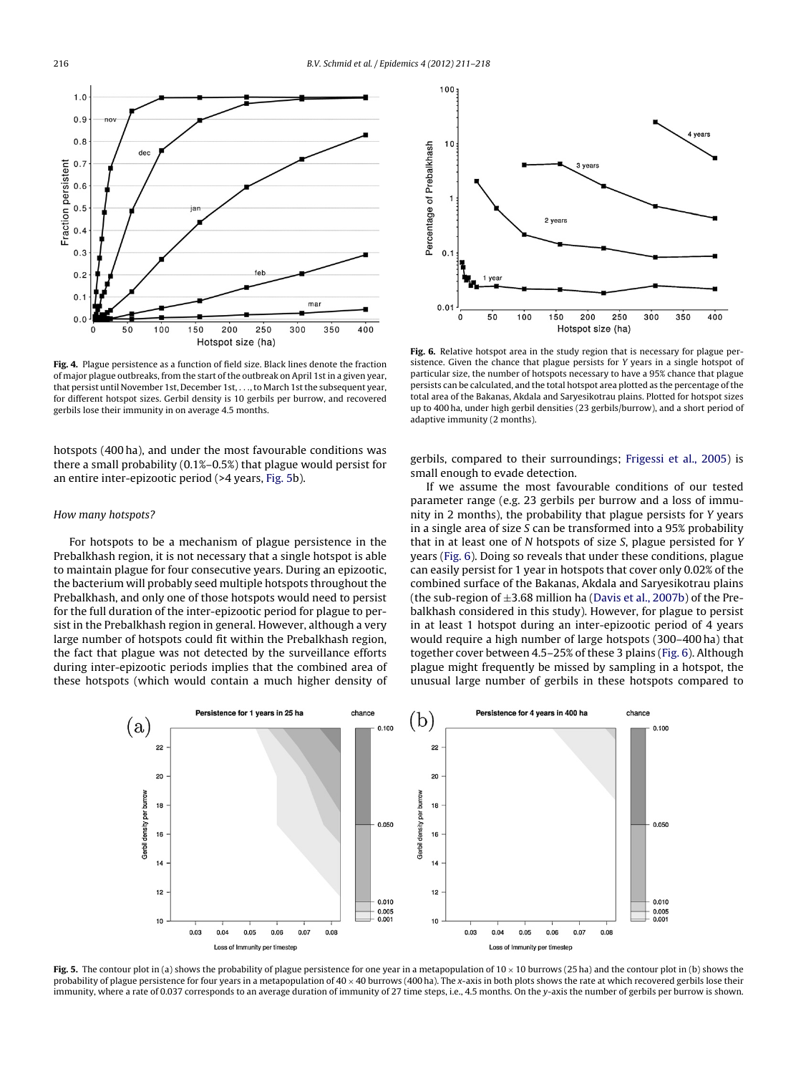<span id="page-5-0"></span>

**Fig. 4.** Plague persistence as a function of field size. Black lines denote the fraction of major plague outbreaks, from the start of the outbreak on April 1st in a given year, that persist until November 1st, December 1st, . . .,to March 1stthe subsequent year, for different hotspot sizes. Gerbil density is 10 gerbils per burrow, and recovered gerbils lose their immunity in on average 4.5 months.

hotspots (400 ha), and under the most favourable conditions was there a small probability (0.1%–0.5%) that plague would persist for an entire inter-epizootic period (>4 years, Fig. 5b).

#### How many hotspots?

For hotspots to be a mechanism of plague persistence in the Prebalkhash region, it is not necessary that a single hotspot is able to maintain plague for four consecutive years. During an epizootic, the bacterium will probably seed multiple hotspots throughout the Prebalkhash, and only one of those hotspots would need to persist for the full duration of the inter-epizootic period for plague to persist in the Prebalkhash region in general. However, although a very large number of hotspots could fit within the Prebalkhash region, the fact that plague was not detected by the surveillance efforts during inter-epizootic periods implies that the combined area of these hotspots (which would contain a much higher density of



**Fig. 6.** Relative hotspot area in the study region that is necessary for plague persistence. Given the chance that plague persists for Y years in a single hotspot of particular size, the number of hotspots necessary to have a 95% chance that plague persists can be calculated, and the total hotspot area plotted as the percentage of the total area of the Bakanas, Akdala and Saryesikotrau plains. Plotted for hotspot sizes up to 400 ha, under high gerbil densities (23 gerbils/burrow), and a short period of adaptive immunity (2 months).

gerbils, compared to their surroundings; [Frigessi](#page-7-0) et [al.,](#page-7-0) [2005\)](#page-7-0) is small enough to evade detection.

If we assume the most favourable conditions of our tested parameter range (e.g. 23 gerbils per burrow and a loss of immunity in 2 months), the probability that plague persists for Y years in a single area of size S can be transformed into a 95% probability that in at least one of N hotspots of size S, plague persisted for Y years (Fig. 6). Doing so reveals that under these conditions, plague can easily persist for 1 year in hotspots that cover only 0.02% of the combined surface of the Bakanas, Akdala and Saryesikotrau plains (the sub-region of  $\pm 3.68$  million ha ([Davis](#page-7-0) et [al.,](#page-7-0) [2007b\)](#page-7-0) of the Prebalkhash considered in this study). However, for plague to persist in at least 1 hotspot during an inter-epizootic period of 4 years would require a high number of large hotspots (300–400 ha) that together cover between 4.5–25% of these 3 plains (Fig. 6). Although plague might frequently be missed by sampling in a hotspot, the unusual large number of gerbils in these hotspots compared to



**Fig.** 5. The contour plot in (a) shows the probability of plague persistence for one year in a metapopulation of  $10 \times 10$  burrows (25 ha) and the contour plot in (b) shows the probability of plague persistence for four years in a metapopulation of 40  $\times$  40 burrows (400 ha). The x-axis in both plots shows the rate at which recovered gerbils lose their immunity, where a rate of 0.037 corresponds to an average duration of immunity of 27 time steps, i.e., 4.5 months. On the y-axis the number of gerbils per burrow is shown.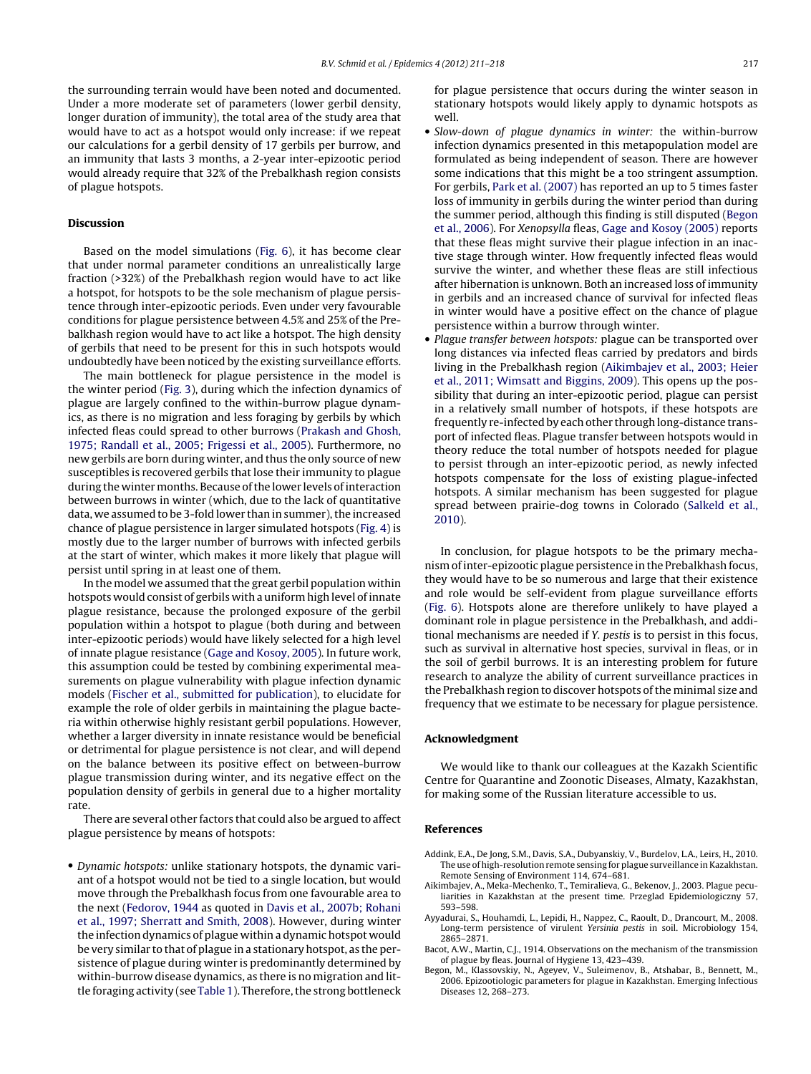<span id="page-6-0"></span>the surrounding terrain would have been noted and documented. Under a more moderate set of parameters (lower gerbil density, longer duration of immunity), the total area of the study area that would have to act as a hotspot would only increase: if we repeat our calculations for a gerbil density of 17 gerbils per burrow, and an immunity that lasts 3 months, a 2-year inter-epizootic period would already require that 32% of the Prebalkhash region consists of plague hotspots.

#### **Discussion**

Based on the model simulations ([Fig.](#page-5-0) 6), it has become clear that under normal parameter conditions an unrealistically large fraction (>32%) of the Prebalkhash region would have to act like a hotspot, for hotspots to be the sole mechanism of plague persistence through inter-epizootic periods. Even under very favourable conditions for plague persistence between 4.5% and 25% of the Prebalkhash region would have to act like a hotspot. The high density of gerbils that need to be present for this in such hotspots would undoubtedly have been noticed by the existing surveillance efforts.

The main bottleneck for plague persistence in the model is the winter period ([Fig.](#page-4-0) 3), during which the infection dynamics of plague are largely confined to the within-burrow plague dynamics, as there is no migration and less foraging by gerbils by which infected fleas could spread to other burrows ([Prakash](#page-7-0) [and](#page-7-0) [Ghosh,](#page-7-0) [1975;](#page-7-0) [Randall](#page-7-0) et [al.,](#page-7-0) [2005;](#page-7-0) [Frigessi](#page-7-0) et [al.,](#page-7-0) [2005\).](#page-7-0) Furthermore, no new gerbils are born during winter, and thus the only source of new susceptibles is recovered gerbils that lose their immunity to plague during the winter months. Because of the lower levels of interaction between burrows in winter (which, due to the lack of quantitative data, we assumed to be 3-fold lower than in summer), the increased chance of plague persistence in larger simulated hotspots ([Fig.](#page-5-0) 4) is mostly due to the larger number of burrows with infected gerbils at the start of winter, which makes it more likely that plague will persist until spring in at least one of them.

In the model we assumed that the great gerbil population within hotspots would consist of gerbils with a uniform high level of innate plague resistance, because the prolonged exposure of the gerbil population within a hotspot to plague (both during and between inter-epizootic periods) would have likely selected for a high level of innate plague resistance [\(Gage](#page-7-0) [and](#page-7-0) [Kosoy,](#page-7-0) [2005\).](#page-7-0) In future work, this assumption could be tested by combining experimental measurements on plague vulnerability with plague infection dynamic models [\(Fischer](#page-7-0) et [al.,](#page-7-0) [submitted](#page-7-0) [for](#page-7-0) [publication\),](#page-7-0) to elucidate for example the role of older gerbils in maintaining the plague bacteria within otherwise highly resistant gerbil populations. However, whether a larger diversity in innate resistance would be beneficial or detrimental for plague persistence is not clear, and will depend on the balance between its positive effect on between-burrow plague transmission during winter, and its negative effect on the population density of gerbils in general due to a higher mortality rate.

There are several other factors that could also be argued to affect plague persistence by means of hotspots:

• Dynamic hotspots: unlike stationary hotspots, the dynamic variant of a hotspot would not be tied to a single location, but would move through the Prebalkhash focus from one favourable area to the next [\(Fedorov,](#page-7-0) [1944](#page-7-0) as quoted in [Davis](#page-7-0) et [al.,](#page-7-0) [2007b;](#page-7-0) [Rohani](#page-7-0) et [al.,](#page-7-0) [1997;](#page-7-0) [Sherratt](#page-7-0) [and](#page-7-0) [Smith,](#page-7-0) [2008\).](#page-7-0) However, during winter the infection dynamics of plague within a dynamic hotspot would be very similar to that of plague in a stationary hotspot, as the persistence of plague during winter is predominantly determined by within-burrow disease dynamics, as there is no migration and little foraging activity (see [Table](#page-2-0) 1). Therefore,the strong bottleneck

for plague persistence that occurs during the winter season in stationary hotspots would likely apply to dynamic hotspots as well.

- Slow-down of plague dynamics in winter: the within-burrow infection dynamics presented in this metapopulation model are formulated as being independent of season. There are however some indications that this might be a too stringent assumption. For gerbils, [Park](#page-7-0) et [al.](#page-7-0) [\(2007\)](#page-7-0) has reported an up to 5 times faster loss of immunity in gerbils during the winter period than during the summer period, although this finding is still disputed (Begon et al., 2006). For Xenopsylla fleas, [Gage](#page-7-0) [and](#page-7-0) [Kosoy](#page-7-0) [\(2005\)](#page-7-0) reports that these fleas might survive their plague infection in an inactive stage through winter. How frequently infected fleas would survive the winter, and whether these fleas are still infectious after hibernation is unknown. Both an increased loss of immunity in gerbils and an increased chance of survival for infected fleas in winter would have a positive effect on the chance of plague persistence within a burrow through winter.
- Plague transfer between hotspots: plague can be transported over long distances via infected fleas carried by predators and birds living in the Prebalkhash region (Aikimbajev et al., 2003; Heier et al., 2011; Wimsatt and Biggins, 2009). This opens up the possibility that during an inter-epizootic period, plague can persist in a relatively small number of hotspots, if these hotspots are frequently re-infected by each other through long-distance transport of infected fleas. Plague transfer between hotspots would in theory reduce the total number of hotspots needed for plague to persist through an inter-epizootic period, as newly infected hotspots compensate for the loss of existing plague-infected hotspots. A similar mechanism has been suggested for plague spread between prairie-dog towns in Colorado ([Salkeld](#page-7-0) et [al.,](#page-7-0) [2010\).](#page-7-0)

In conclusion, for plague hotspots to be the primary mechanism ofinter-epizootic plague persistence in the Prebalkhash focus, they would have to be so numerous and large that their existence and role would be self-evident from plague surveillance efforts [\(Fig.](#page-5-0) 6). Hotspots alone are therefore unlikely to have played a dominant role in plague persistence in the Prebalkhash, and additional mechanisms are needed if Y. pestis is to persist in this focus, such as survival in alternative host species, survival in fleas, or in the soil of gerbil burrows. It is an interesting problem for future research to analyze the ability of current surveillance practices in the Prebalkhash region to discover hotspots of the minimal size and frequency that we estimate to be necessary for plague persistence.

#### **Acknowledgment**

We would like to thank our colleagues at the Kazakh Scientific Centre for Quarantine and Zoonotic Diseases, Almaty, Kazakhstan, for making some of the Russian literature accessible to us.

#### **References**

- Addink, E.A., De Jong, S.M., Davis, S.A., Dubyanskiy, V., Burdelov, L.A., Leirs, H., 2010. The use of high-resolution remote sensing for plague surveillance in Kazakhstan. Remote Sensing of Environment 114, 674–681.
- Aikimbajev, A., Meka-Mechenko, T., Temiralieva, G., Bekenov, J., 2003. Plague peculiarities in Kazakhstan at the present time. Przeglad Epidemiologiczny 57, 593–598.
- Ayyadurai, S., Houhamdi, L., Lepidi, H., Nappez, C., Raoult, D., Drancourt, M., 2008. Long-term persistence of virulent Yersinia pestis in soil. Microbiology 154, 2865–2871.
- Bacot, A.W., Martin, C.J., 1914. Observations on the mechanism of the transmission of plague by fleas. Journal of Hygiene 13, 423–439.
- Begon, M., Klassovskiy, N., Ageyev, V., Suleimenov, B., Atshabar, B., Bennett, M., 2006. Epizootiologic parameters for plague in Kazakhstan. Emerging Infectious Diseases 12, 268–273.